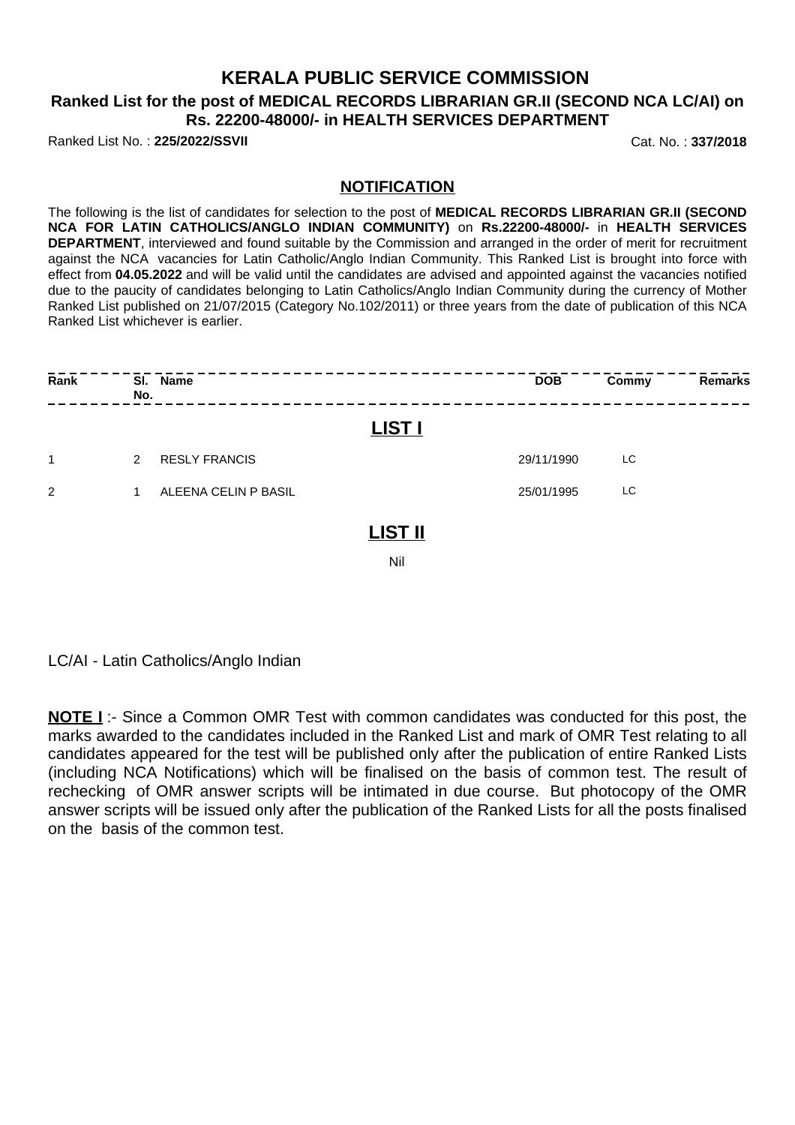## **KERALA PUBLIC SERVICE COMMISSION**

## **Ranked List for the post of MEDICAL RECORDS LIBRARIAN GR.II (SECOND NCA LC/AI) on Rs. 22200-48000/- in HEALTH SERVICES DEPARTMENT**

Ranked List No. : **225/2022/SSVII** Cat. No. : **337/2018**

## **NOTIFICATION**

The following is the list of candidates for selection to the post of **MEDICAL RECORDS LIBRARIAN GR.II (SECOND NCA FOR LATIN CATHOLICS/ANGLO INDIAN COMMUNITY)** on **Rs.22200-48000/-** in **HEALTH SERVICES DEPARTMENT**, interviewed and found suitable by the Commission and arranged in the order of merit for recruitment against the NCA vacancies for Latin Catholic/Anglo Indian Community. This Ranked List is brought into force with effect from **04.05.2022** and will be valid until the candidates are advised and appointed against the vacancies notified due to the paucity of candidates belonging to Latin Catholics/Anglo Indian Community during the currency of Mother Ranked List published on 21/07/2015 (Category No.102/2011) or three years from the date of publication of this NCA Ranked List whichever is earlier.

| Rank | No.          | SI. Name             | <b>DOB</b> | Commy | Remarks |
|------|--------------|----------------------|------------|-------|---------|
|      |              | <b>LIST I</b>        |            |       |         |
| 1    | $\mathbf{2}$ | <b>RESLY FRANCIS</b> | 29/11/1990 | LC.   |         |
| 2    | 1            | ALEENA CELIN P BASIL | 25/01/1995 | LC.   |         |
|      |              | <b>LIST II</b>       |            |       |         |
|      |              | Nil                  |            |       |         |

LC/AI - Latin Catholics/Anglo Indian

**NOTE I** :- Since a Common OMR Test with common candidates was conducted for this post, the marks awarded to the candidates included in the Ranked List and mark of OMR Test relating to all candidates appeared for the test will be published only after the publication of entire Ranked Lists (including NCA Notifications) which will be finalised on the basis of common test. The result of rechecking of OMR answer scripts will be intimated in due course. But photocopy of the OMR answer scripts will be issued only after the publication of the Ranked Lists for all the posts finalised on the basis of the common test.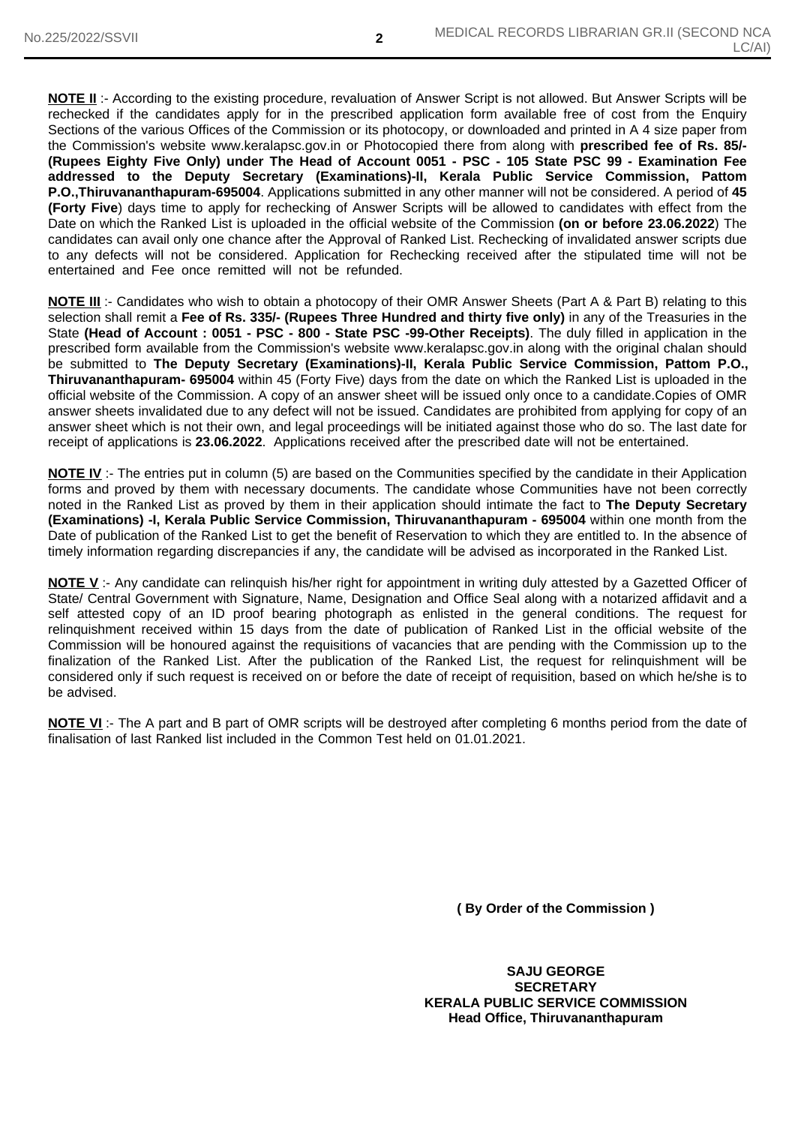**NOTE II** :- According to the existing procedure, revaluation of Answer Script is not allowed. But Answer Scripts will be rechecked if the candidates apply for in the prescribed application form available free of cost from the Enquiry Sections of the various Offices of the Commission or its photocopy, or downloaded and printed in A 4 size paper from the Commission's website www.keralapsc.gov.in or Photocopied there from along with **prescribed fee of Rs. 85/- (Rupees Eighty Five Only) under The Head of Account 0051 - PSC - 105 State PSC 99 - Examination Fee addressed to the Deputy Secretary (Examinations)-II, Kerala Public Service Commission, Pattom P.O.,Thiruvananthapuram-695004**. Applications submitted in any other manner will not be considered. A period of **45 (Forty Five**) days time to apply for rechecking of Answer Scripts will be allowed to candidates with effect from the Date on which the Ranked List is uploaded in the official website of the Commission **(on or before 23.06.2022**) The candidates can avail only one chance after the Approval of Ranked List. Rechecking of invalidated answer scripts due to any defects will not be considered. Application for Rechecking received after the stipulated time will not be entertained and Fee once remitted will not be refunded.

**NOTE III** :- Candidates who wish to obtain a photocopy of their OMR Answer Sheets (Part A & Part B) relating to this selection shall remit a **Fee of Rs. 335/- (Rupees Three Hundred and thirty five only)** in any of the Treasuries in the State **(Head of Account : 0051 - PSC - 800 - State PSC -99-Other Receipts)**. The duly filled in application in the prescribed form available from the Commission's website www.keralapsc.gov.in along with the original chalan should be submitted to **The Deputy Secretary (Examinations)-II, Kerala Public Service Commission, Pattom P.O., Thiruvananthapuram- 695004** within 45 (Forty Five) days from the date on which the Ranked List is uploaded in the official website of the Commission. A copy of an answer sheet will be issued only once to a candidate.Copies of OMR answer sheets invalidated due to any defect will not be issued. Candidates are prohibited from applying for copy of an answer sheet which is not their own, and legal proceedings will be initiated against those who do so. The last date for receipt of applications is **23.06.2022**. Applications received after the prescribed date will not be entertained.

**NOTE IV** :- The entries put in column (5) are based on the Communities specified by the candidate in their Application forms and proved by them with necessary documents. The candidate whose Communities have not been correctly noted in the Ranked List as proved by them in their application should intimate the fact to **The Deputy Secretary (Examinations) -I, Kerala Public Service Commission, Thiruvananthapuram - 695004** within one month from the Date of publication of the Ranked List to get the benefit of Reservation to which they are entitled to. In the absence of timely information regarding discrepancies if any, the candidate will be advised as incorporated in the Ranked List.

**NOTE V** :- Any candidate can relinquish his/her right for appointment in writing duly attested by a Gazetted Officer of State/ Central Government with Signature, Name, Designation and Office Seal along with a notarized affidavit and a self attested copy of an ID proof bearing photograph as enlisted in the general conditions. The request for relinquishment received within 15 days from the date of publication of Ranked List in the official website of the Commission will be honoured against the requisitions of vacancies that are pending with the Commission up to the finalization of the Ranked List. After the publication of the Ranked List, the request for relinquishment will be considered only if such request is received on or before the date of receipt of requisition, based on which he/she is to be advised.

**NOTE VI** :- The A part and B part of OMR scripts will be destroyed after completing 6 months period from the date of finalisation of last Ranked list included in the Common Test held on 01.01.2021.

**( By Order of the Commission )**

**SAJU GEORGE SECRETARY KERALA PUBLIC SERVICE COMMISSION Head Office, Thiruvananthapuram**

**2**